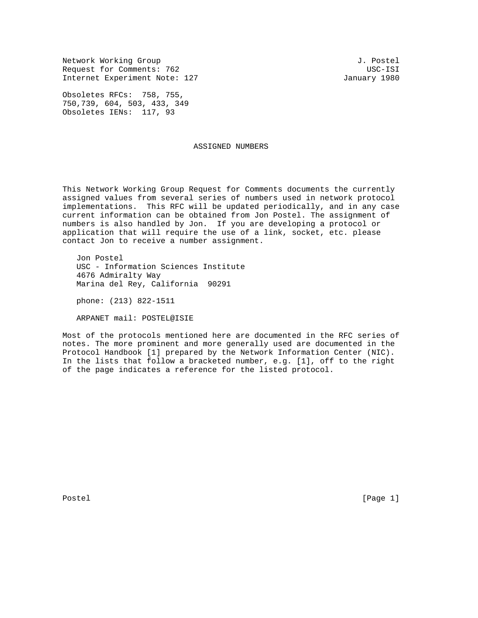Network Working Group and the set of the set of the set of the set of the set of the set of the set of the set of the set of the set of the set of the set of the set of the set of the set of the set of the set of the set o Request for Comments: 762 USC-ISI Internet Experiment Note: 127 January 1980

Obsoletes RFCs: 758, 755, 750,739, 604, 503, 433, 349 Obsoletes IENs: 117, 93

## ASSIGNED NUMBERS

This Network Working Group Request for Comments documents the currently assigned values from several series of numbers used in network protocol implementations. This RFC will be updated periodically, and in any case current information can be obtained from Jon Postel. The assignment of numbers is also handled by Jon. If you are developing a protocol or application that will require the use of a link, socket, etc. please contact Jon to receive a number assignment.

 Jon Postel USC - Information Sciences Institute 4676 Admiralty Way Marina del Rey, California 90291

phone: (213) 822-1511

ARPANET mail: POSTEL@ISIE

Most of the protocols mentioned here are documented in the RFC series of notes. The more prominent and more generally used are documented in the Protocol Handbook [1] prepared by the Network Information Center (NIC). In the lists that follow a bracketed number, e.g. [1], off to the right of the page indicates a reference for the listed protocol.

Postel [Page 1] [Page 1]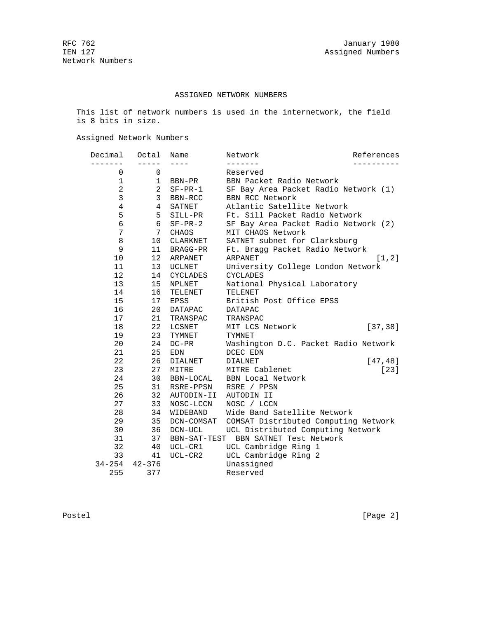## ASSIGNED NETWORK NUMBERS

 This list of network numbers is used in the internetwork, the field is 8 bits in size.

Assigned Network Numbers

| Decimal        | Octal           | Name            | Network                              | References |
|----------------|-----------------|-----------------|--------------------------------------|------------|
|                |                 |                 |                                      |            |
| 0              | 0               |                 | Reserved                             |            |
| 1              | $\mathbf 1$     | BBN-PR          | BBN Packet Radio Network             |            |
| $\overline{a}$ | 2               | $SF-PR-1$       | SF Bay Area Packet Radio Network (1) |            |
| 3              | 3               | BBN-RCC         | <b>BBN RCC Network</b>               |            |
| 4              | 4               | SATNET          | Atlantic Satellite Network           |            |
| 5              | 5               | SILL-PR         | Ft. Sill Packet Radio Network        |            |
| 6              | 6               | $SF-PR-2$       | SF Bay Area Packet Radio Network (2) |            |
| 7              | 7               | CHAOS           | MIT CHAOS Network                    |            |
| 8              | 10              | <b>CLARKNET</b> | SATNET subnet for Clarksburg         |            |
| 9              | 11              | BRAGG-PR        | Ft. Bragg Packet Radio Network       |            |
| 10             | 12 <sup>°</sup> | ARPANET         | <b>ARPANET</b>                       | [1,2]      |
| 11             | 13              | UCLNET          | University College London Network    |            |
| 12             | 14              | <b>CYCLADES</b> | <b>CYCLADES</b>                      |            |
| 13             | 15              | NPLNET          | National Physical Laboratory         |            |
| 14             | 16              | TELENET         | TELENET                              |            |
| 15             | 17              | <b>EPSS</b>     | British Post Office EPSS             |            |
| 16             | 20              | <b>DATAPAC</b>  | <b>DATAPAC</b>                       |            |
| 17             | 21              | TRANSPAC        | TRANSPAC                             |            |
| 18             | 22              | <b>LCSNET</b>   | MIT LCS Network                      | [37, 38]   |
| 19             | 23              | TYMNET          | <b>TYMNET</b>                        |            |
| 20             | 24              | $DC-PR$         | Washington D.C. Packet Radio Network |            |
| 21             | 25              | EDN             | DCEC EDN                             |            |
| 22             | 26              | <b>DIALNET</b>  | <b>DIALNET</b>                       | [47, 48]   |
| 23             | 27              | MITRE           | MITRE Cablenet                       | $[23]$     |
| 24             | 30              | BBN-LOCAL       | <b>BBN</b> Local Network             |            |
| 25             | 31              | RSRE-PPSN       | RSRE / PPSN                          |            |
| 26             | 32              | AUTODIN-II      | AUTODIN II                           |            |
| 27             | 33              | NOSC-LCCN       | NOSC / LCCN                          |            |
| 28             | 34              | WIDEBAND        | Wide Band Satellite Network          |            |
| 29             | 35              | DCN-COMSAT      | COMSAT Distributed Computing Network |            |
| 30             | 36              | DCN-UCL         | UCL Distributed Computing Network    |            |
| 31             | 37              | BBN-SAT-TEST    | BBN SATNET Test Network              |            |
| 32             | 40              | UCL-CR1         | UCL Cambridge Ring 1                 |            |
| 33             | 41              | $UCL-CR2$       | UCL Cambridge Ring 2                 |            |
| $34 - 254$     | $42 - 376$      |                 | Unassigned                           |            |
| 255            | 377             |                 | Reserved                             |            |

Postel [Page 2]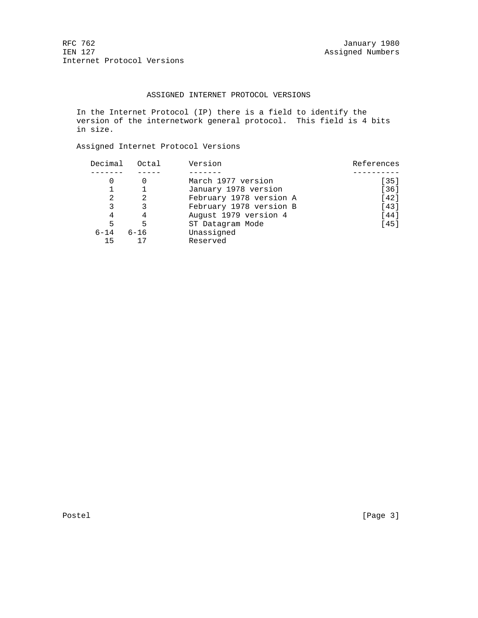RFC 762 January 1980<br>IEN 127 January 1980 Internet Protocol Versions

## ASSIGNED INTERNET PROTOCOL VERSIONS

 In the Internet Protocol (IP) there is a field to identify the version of the internetwork general protocol. This field is 4 bits in size.

Assigned Internet Protocol Versions

| Decimal  | Octal    | Version                 | References |
|----------|----------|-------------------------|------------|
|          |          |                         |            |
|          |          | March 1977 version      | $[35]$     |
|          |          | January 1978 version    | $[36]$     |
| 2        | 2        | February 1978 version A | $[42]$     |
| 3        |          | February 1978 version B | $[43]$     |
| 4        | 4        | August 1979 version 4   | $[44]$     |
| 5        | 5        | ST Datagram Mode        | $[45]$     |
| $6 - 14$ | $6 - 16$ | Unassigned              |            |
| 15       |          | Reserved                |            |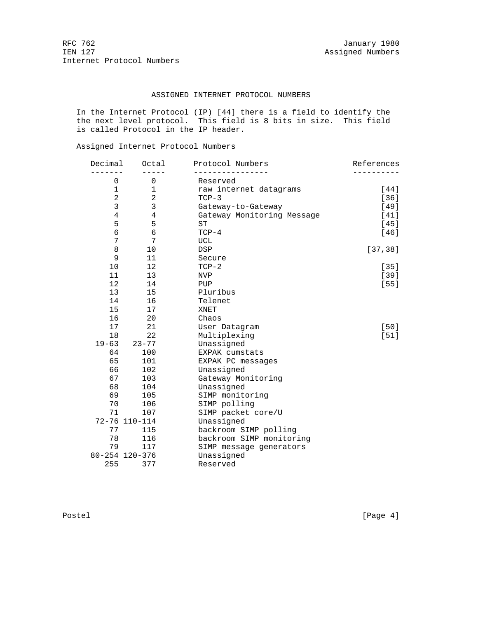RFC 762 January 1980<br>IEN 127 January 1980 Internet Protocol Numbers

### ASSIGNED INTERNET PROTOCOL NUMBERS

 In the Internet Protocol (IP) [44] there is a field to identify the the next level protocol. This field is 8 bits in size. This field is called Protocol in the IP header.

Assigned Internet Protocol Numbers

| Decimal        | Octal          | Protocol Numbers           | References |
|----------------|----------------|----------------------------|------------|
| $\Omega$       | $\Omega$       | Reserved                   |            |
| 1              | 1              | raw internet datagrams     | [44]       |
| $\overline{2}$ | $\overline{a}$ | $TCP-3$                    | $[36]$     |
| 3              | $\mathbf{3}$   | Gateway-to-Gateway         | [49]       |
| $\overline{4}$ | $\overline{4}$ | Gateway Monitoring Message | [41]       |
| 5              | 5              | <b>ST</b>                  | $[45]$     |
| 6              | $\epsilon$     | $TCP-4$                    | [46]       |
| 7              | 7              | UCL                        |            |
| 8              | 10             | <b>DSP</b>                 | [37, 38]   |
| 9              | 11             | Secure                     |            |
| 10             | 12             | $TCP-2$                    | $[35]$     |
| 11             | 13             | <b>NVP</b>                 | $[39]$     |
| 12             | 14             | PUP                        | $[55]$     |
| 13             | 15             | Pluribus                   |            |
| 14             | 16             | Telenet                    |            |
| 15             | 17             | XNET                       |            |
| 16             | 20             | Chaos                      |            |
| 17             | 21             | User Datagram              | $[50]$     |
| 18             | 22             | Multiplexing               | $[51]$     |
| $19 - 63$      | $23 - 77$      | Unassigned                 |            |
| 64             | 100            | EXPAK cumstats             |            |
| 65             | 101            | EXPAK PC messages          |            |
| 66             | 102            | Unassigned                 |            |
| 67             | 103            | Gateway Monitoring         |            |
| 68             | 104            | Unassigned                 |            |
| 69             | 105            | SIMP monitoring            |            |
| 70             | 106            | SIMP polling               |            |
| 71             | 107            | SIMP packet core/U         |            |
|                | 72-76 110-114  | Unassigned                 |            |
| 77             | 115            | backroom SIMP polling      |            |
| 78             | 116            | backroom SIMP monitoring   |            |
| 79             | 117            | SIMP message generators    |            |
|                | 80-254 120-376 | Unassigned                 |            |
| 255            | 377            | Reserved                   |            |

Postel [Page 4]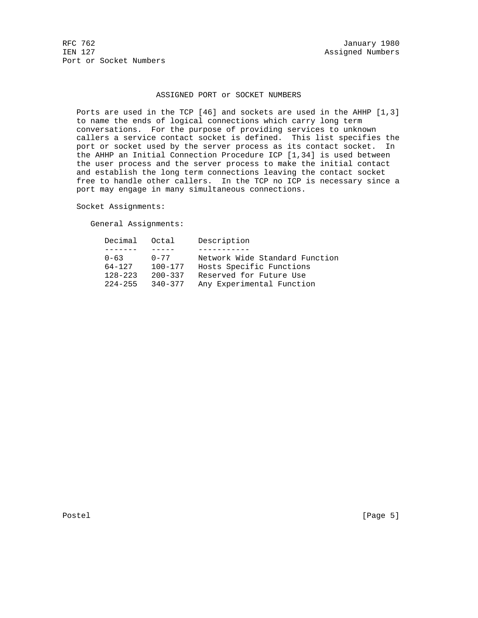RFC 762 January 1980<br>IEN 127 January 1980 Port or Socket Numbers

### ASSIGNED PORT or SOCKET NUMBERS

 Ports are used in the TCP [46] and sockets are used in the AHHP [1,3] to name the ends of logical connections which carry long term conversations. For the purpose of providing services to unknown callers a service contact socket is defined. This list specifies the port or socket used by the server process as its contact socket. In the AHHP an Initial Connection Procedure ICP [1,34] is used between the user process and the server process to make the initial contact and establish the long term connections leaving the contact socket free to handle other callers. In the TCP no ICP is necessary since a port may engage in many simultaneous connections.

Socket Assignments:

General Assignments:

| Decimal Octal |             | Description                    |
|---------------|-------------|--------------------------------|
|               |             |                                |
| $0 - 63$      | $0 - 77$    | Network Wide Standard Function |
| $64 - 127$    | $100 - 177$ | Hosts Specific Functions       |
| $128 - 223$   | $200 - 337$ | Reserved for Future Use        |
| $224 - 255$   | $340 - 377$ | Any Experimental Function      |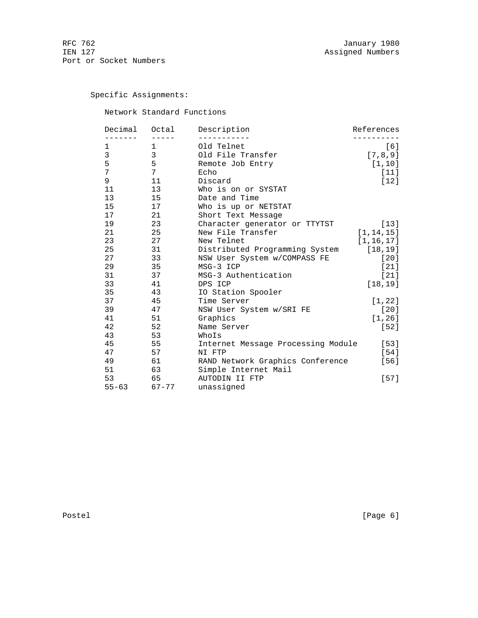Specific Assignments:

Network Standard Functions

| Decimal   | Octal           | Description                        | References  |
|-----------|-----------------|------------------------------------|-------------|
| 1         | 1               | Old Telnet                         | [6]         |
| 3         | 3               | Old File Transfer                  | [7, 8, 9]   |
| 5         | 5               | Remote Job Entry                   | [1, 10]     |
| 7         | 7               | Echo                               | $[11]$      |
| 9         | 11              | Discard                            | [12]        |
| 11        | 13              | Who is on or SYSTAT                |             |
| 13        | 15 <sub>1</sub> | Date and Time                      |             |
| 15        | 17              | Who is up or NETSTAT               |             |
| 17        | 21              | Short Text Message                 |             |
| 19        | 23              | Character generator or TTYTST      | $[13]$      |
| 21        | 25              | New File Transfer                  | [1, 14, 15] |
| 23        | 27              | New Telnet                         | [1, 16, 17] |
| 25        | 31              | Distributed Programming System     | [18, 19]    |
| 27        | 33              | NSW User System w/COMPASS FE       | [20]        |
| 29        | 35              | MSG-3 ICP                          | $[21]$      |
| 31        | 37              | MSG-3 Authentication               | $[21]$      |
| 33        | 41              | DPS ICP                            | [18, 19]    |
| 35        | 43              | IO Station Spooler                 |             |
| 37        | 45              | Time Server                        | [1, 22]     |
| 39        | 47              | NSW User System w/SRI FE           | $[20]$      |
| 41        | 51              | Graphics                           | [1, 26]     |
| 42        | 52              | Name Server                        | [52]        |
| 43        | 53              | WhoIs                              |             |
| 45        | 55              | Internet Message Processing Module | [53]        |
| 47        | 57              | NI FTP                             | [54]        |
| 49        | 61              | RAND Network Graphics Conference   | [56]        |
| 51        | 63              | Simple Internet Mail               |             |
| 53        | 65              | AUTODIN II FTP                     | $[57]$      |
| $55 - 63$ | $67 - 77$       | unassigned                         |             |

Postel [Page 6]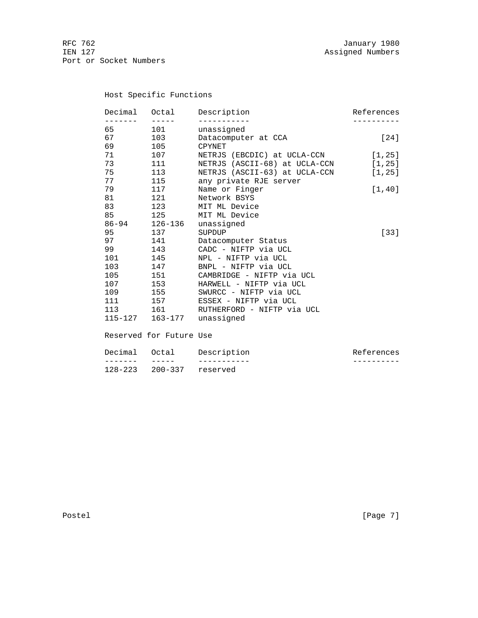Host Specific Functions

| Decimal                                                                                                                                                                                                                         | Octal                  | Description                   | References |
|---------------------------------------------------------------------------------------------------------------------------------------------------------------------------------------------------------------------------------|------------------------|-------------------------------|------------|
| - - - - - - -<br>65 — 10                                                                                                                                                                                                        | $\frac{1}{2}$<br>101 \ | unassigned                    |            |
| 67 — 10                                                                                                                                                                                                                         | 103                    | Datacomputer at CCA           | [24]       |
| 69                                                                                                                                                                                                                              | 105                    | CPYNET                        |            |
| 71                                                                                                                                                                                                                              | 107                    | NETRJS (EBCDIC) at UCLA-CCN   | [1, 25]    |
| 73                                                                                                                                                                                                                              | 111                    | NETRJS (ASCII-68) at UCLA-CCN | [1, 25]    |
| 75 — 17                                                                                                                                                                                                                         | 113                    | NETRJS (ASCII-63) at UCLA-CCN |            |
| 77                                                                                                                                                                                                                              |                        |                               | [1, 25]    |
|                                                                                                                                                                                                                                 | 115                    | any private RJE server        |            |
| 79                                                                                                                                                                                                                              | 117                    | Name or Finger                | [1, 40]    |
| 81                                                                                                                                                                                                                              | 121                    | Network BSYS                  |            |
|                                                                                                                                                                                                                                 | 83 123                 | MIT ML Device                 |            |
|                                                                                                                                                                                                                                 | 85 125                 | MIT ML Device                 |            |
|                                                                                                                                                                                                                                 | 86-94 126-136          | unassigned                    |            |
| 95 70                                                                                                                                                                                                                           | 137                    | SUPDUP                        | $[33]$     |
| 97 — 200                                                                                                                                                                                                                        | 141                    | Datacomputer Status           |            |
| 99 — 100 — 100 — 100 — 100 — 100 — 100 — 100 — 100 — 100 — 100 — 100 — 100 — 100 — 100 — 100 — 100 — 100 — 100 — 100 — 100 — 100 — 100 — 100 — 100 — 100 — 100 — 100 — 100 — 100 — 100 — 100 — 100 — 100 — 100 — 100 — 100 — 10 | 143                    | CADC - NIFTP via UCL          |            |
| 101                                                                                                                                                                                                                             | 145                    | NPL - NIFTP via UCL           |            |
| 103                                                                                                                                                                                                                             | 147                    | BNPL - NIFTP via UCL          |            |
| 105                                                                                                                                                                                                                             | 151                    | CAMBRIDGE - NIFTP via UCL     |            |
| 107                                                                                                                                                                                                                             | 153                    | HARWELL - NIFTP via UCL       |            |
| 109                                                                                                                                                                                                                             | 155                    | SWURCC - NIFTP via UCL        |            |
| 111 7                                                                                                                                                                                                                           | 157 — 157              | ESSEX - NIFTP via UCL         |            |
|                                                                                                                                                                                                                                 | 113 161                | RUTHERFORD - NIFTP via UCL    |            |
|                                                                                                                                                                                                                                 |                        | 115-127 163-177 unassigned    |            |
|                                                                                                                                                                                                                                 |                        |                               |            |
|                                                                                                                                                                                                                                 |                        |                               |            |

Reserved for Future Use

| Decimal Octal |                  | Description | References |
|---------------|------------------|-------------|------------|
|               |                  |             |            |
| 128-223       | 200-337 reserved |             |            |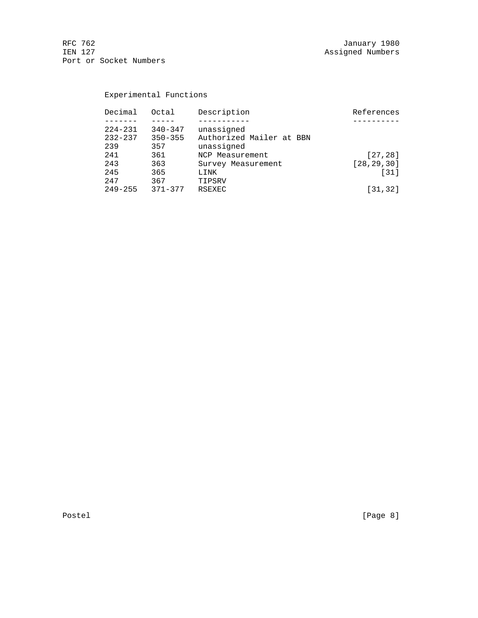RFC 762 January 1980 IEN 127 Assigned Numbers Port or Socket Numbers

# Experimental Functions

| Decimal     | Octal       | Description              | References   |
|-------------|-------------|--------------------------|--------------|
|             |             |                          |              |
| $224 - 231$ | $340 - 347$ | unassigned               |              |
| $232 - 237$ | $350 - 355$ | Authorized Mailer at BBN |              |
| 239         | 357         | unassigned               |              |
| 241         | 361         | NCP Measurement          | [27, 28]     |
| 243         | 363         | Survey Measurement       | [28, 29, 30] |
| 245         | 365         | LINK                     | $[31]$       |
| 2.47        | 367         | TIPSRV                   |              |
| $249 - 255$ | $371 - 377$ | RSEXEC                   | $[31, 32]$   |
|             |             |                          |              |

Postel [Page 8]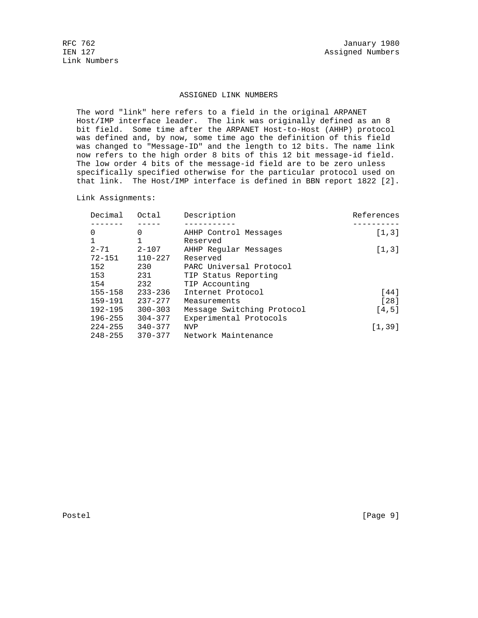Link Numbers

#### ASSIGNED LINK NUMBERS

 The word "link" here refers to a field in the original ARPANET Host/IMP interface leader. The link was originally defined as an 8 bit field. Some time after the ARPANET Host-to-Host (AHHP) protocol was defined and, by now, some time ago the definition of this field was changed to "Message-ID" and the length to 12 bits. The name link now refers to the high order 8 bits of this 12 bit message-id field. The low order 4 bits of the message-id field are to be zero unless specifically specified otherwise for the particular protocol used on that link. The Host/IMP interface is defined in BBN report 1822 [2].

Link Assignments:

| Decimal      | Octal       | Description                | References |
|--------------|-------------|----------------------------|------------|
|              |             |                            |            |
| 0            | $\Omega$    | AHHP Control Messages      | [1,3]      |
| $\mathbf{1}$ |             | Reserved                   |            |
| $2 - 71$     | $2 - 107$   | AHHP Reqular Messages      | [1,3]      |
| $72 - 151$   | $110 - 227$ | Reserved                   |            |
| 152          | 230         | PARC Universal Protocol    |            |
| 153          | 231         | TIP Status Reporting       |            |
| 154          | 232         | TIP Accounting             |            |
| $155 - 158$  | $233 - 236$ | Internet Protocol          | [44]       |
| $159 - 191$  | $237 - 277$ | Measurements               | $[28]$     |
| $192 - 195$  | $300 - 303$ | Message Switching Protocol | [4,5]      |
| $196 - 255$  | $304 - 377$ | Experimental Protocols     |            |
| $224 - 255$  | $340 - 377$ | <b>NVP</b>                 | [1, 39]    |
| $248 - 255$  | $370 - 377$ | Network Maintenance        |            |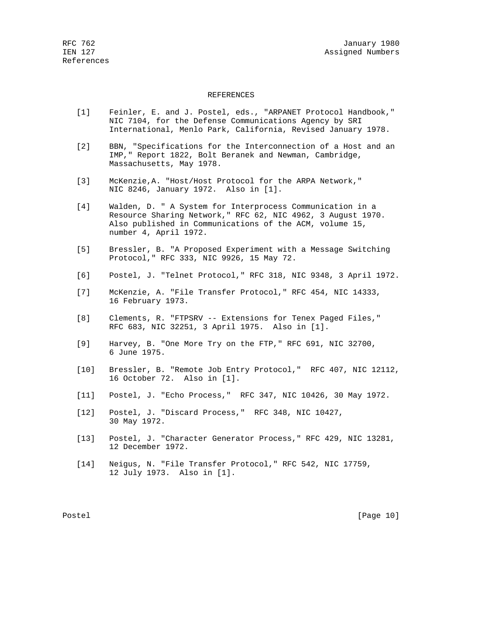#### REFERENCES

- [1] Feinler, E. and J. Postel, eds., "ARPANET Protocol Handbook," NIC 7104, for the Defense Communications Agency by SRI International, Menlo Park, California, Revised January 1978.
- [2] BBN, "Specifications for the Interconnection of a Host and an IMP," Report 1822, Bolt Beranek and Newman, Cambridge, Massachusetts, May 1978.
- [3] McKenzie,A. "Host/Host Protocol for the ARPA Network," NIC 8246, January 1972. Also in [1].
- [4] Walden, D. " A System for Interprocess Communication in a Resource Sharing Network," RFC 62, NIC 4962, 3 August 1970. Also published in Communications of the ACM, volume 15, number 4, April 1972.
- [5] Bressler, B. "A Proposed Experiment with a Message Switching Protocol," RFC 333, NIC 9926, 15 May 72.
- [6] Postel, J. "Telnet Protocol," RFC 318, NIC 9348, 3 April 1972.
- [7] McKenzie, A. "File Transfer Protocol," RFC 454, NIC 14333, 16 February 1973.
- [8] Clements, R. "FTPSRV -- Extensions for Tenex Paged Files," RFC 683, NIC 32251, 3 April 1975. Also in [1].
- [9] Harvey, B. "One More Try on the FTP," RFC 691, NIC 32700, 6 June 1975.
- [10] Bressler, B. "Remote Job Entry Protocol," RFC 407, NIC 12112, 16 October 72. Also in [1].
- [11] Postel, J. "Echo Process," RFC 347, NIC 10426, 30 May 1972.
- [12] Postel, J. "Discard Process," RFC 348, NIC 10427, 30 May 1972.
- [13] Postel, J. "Character Generator Process," RFC 429, NIC 13281, 12 December 1972.
- [14] Neigus, N. "File Transfer Protocol," RFC 542, NIC 17759, 12 July 1973. Also in [1].

Postel [Page 10]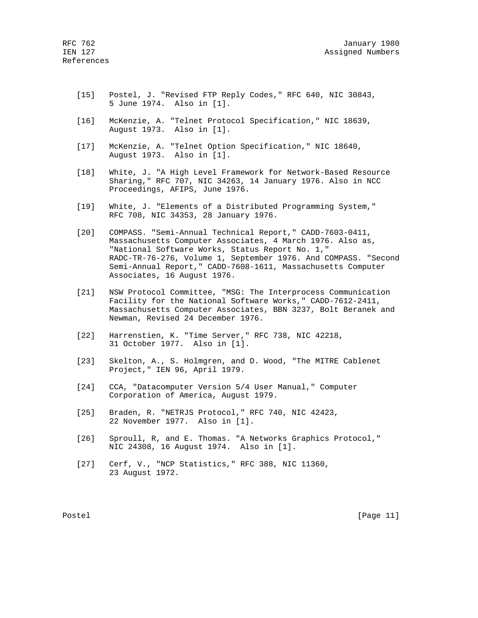- [15] Postel, J. "Revised FTP Reply Codes," RFC 640, NIC 30843, 5 June 1974. Also in [1].
- [16] McKenzie, A. "Telnet Protocol Specification," NIC 18639, August 1973. Also in [1].
- [17] McKenzie, A. "Telnet Option Specification," NIC 18640, August 1973. Also in [1].
- [18] White, J. "A High Level Framework for Network-Based Resource Sharing," RFC 707, NIC 34263, 14 January 1976. Also in NCC Proceedings, AFIPS, June 1976.
- [19] White, J. "Elements of a Distributed Programming System," RFC 708, NIC 34353, 28 January 1976.
- [20] COMPASS. "Semi-Annual Technical Report," CADD-7603-0411, Massachusetts Computer Associates, 4 March 1976. Also as, "National Software Works, Status Report No. 1," RADC-TR-76-276, Volume 1, September 1976. And COMPASS. "Second Semi-Annual Report," CADD-7608-1611, Massachusetts Computer Associates, 16 August 1976.
- [21] NSW Protocol Committee, "MSG: The Interprocess Communication Facility for the National Software Works," CADD-7612-2411, Massachusetts Computer Associates, BBN 3237, Bolt Beranek and Newman, Revised 24 December 1976.
- [22] Harrenstien, K. "Time Server," RFC 738, NIC 42218, 31 October 1977. Also in [1].
- [23] Skelton, A., S. Holmgren, and D. Wood, "The MITRE Cablenet Project," IEN 96, April 1979.
- [24] CCA, "Datacomputer Version 5/4 User Manual," Computer Corporation of America, August 1979.
- [25] Braden, R. "NETRJS Protocol," RFC 740, NIC 42423, 22 November 1977. Also in [1].
- [26] Sproull, R, and E. Thomas. "A Networks Graphics Protocol," NIC 24308, 16 August 1974. Also in [1].
- [27] Cerf, V., "NCP Statistics," RFC 388, NIC 11360, 23 August 1972.

Postel [Page 11]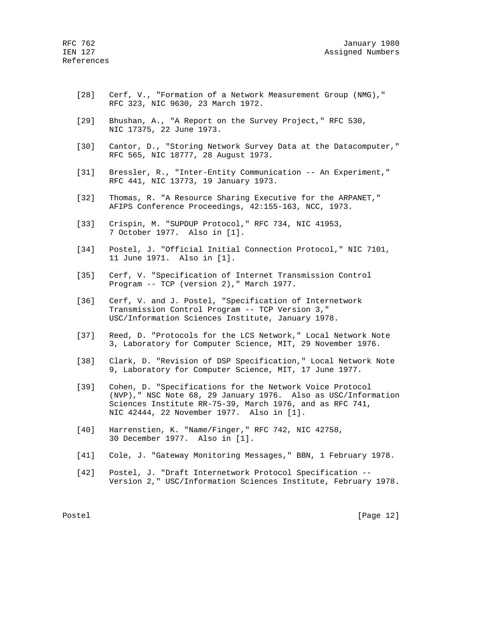- [28] Cerf, V., "Formation of a Network Measurement Group (NMG)," RFC 323, NIC 9630, 23 March 1972.
- [29] Bhushan, A., "A Report on the Survey Project," RFC 530, NIC 17375, 22 June 1973.
- [30] Cantor, D., "Storing Network Survey Data at the Datacomputer," RFC 565, NIC 18777, 28 August 1973.
- [31] Bressler, R., "Inter-Entity Communication -- An Experiment," RFC 441, NIC 13773, 19 January 1973.
- [32] Thomas, R. "A Resource Sharing Executive for the ARPANET," AFIPS Conference Proceedings, 42:155-163, NCC, 1973.
- [33] Crispin, M. "SUPDUP Protocol," RFC 734, NIC 41953, 7 October 1977. Also in [1].
- [34] Postel, J. "Official Initial Connection Protocol," NIC 7101, 11 June 1971. Also in [1].
- [35] Cerf, V. "Specification of Internet Transmission Control Program -- TCP (version 2)," March 1977.
- [36] Cerf, V. and J. Postel, "Specification of Internetwork Transmission Control Program -- TCP Version 3," USC/Information Sciences Institute, January 1978.
- [37] Reed, D. "Protocols for the LCS Network," Local Network Note 3, Laboratory for Computer Science, MIT, 29 November 1976.
- [38] Clark, D. "Revision of DSP Specification," Local Network Note 9, Laboratory for Computer Science, MIT, 17 June 1977.
- [39] Cohen, D. "Specifications for the Network Voice Protocol (NVP)," NSC Note 68, 29 January 1976. Also as USC/Information Sciences Institute RR-75-39, March 1976, and as RFC 741, NIC 42444, 22 November 1977. Also in [1].
- [40] Harrenstien, K. "Name/Finger," RFC 742, NIC 42758, 30 December 1977. Also in [1].
- [41] Cole, J. "Gateway Monitoring Messages," BBN, 1 February 1978.
- [42] Postel, J. "Draft Internetwork Protocol Specification -- Version 2," USC/Information Sciences Institute, February 1978.

Postel [Page 12]